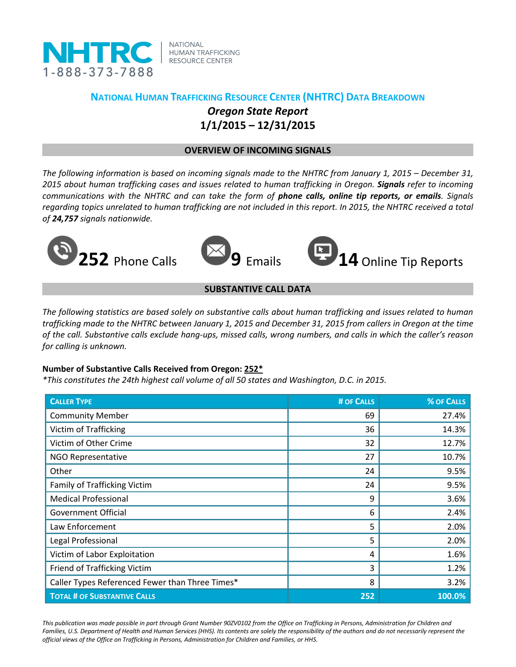

**NATIONAL HUMAN TRAFFICKING RESOURCE CENTER** 

# **NATIONAL HUMAN TRAFFICKING RESOURCE CENTER (NHTRC) DATA BREAKDOWN** *Oregon State Report* **1/1/2015 – 12/31/2015**

### **OVERVIEW OF INCOMING SIGNALS**

*The following information is based on incoming signals made to the NHTRC from January 1, 2015 – December 31, 2015 about human trafficking cases and issues related to human trafficking in Oregon. Signals refer to incoming communications with the NHTRC and can take the form of phone calls, online tip reports, or emails. Signals regarding topics unrelated to human trafficking are not included in this report. In 2015, the NHTRC received a total of 24,757 signals nationwide.*





**252** Phone Calls **9** Emails **14** Online Tip Reports

## **SUBSTANTIVE CALL DATA**

*The following statistics are based solely on substantive calls about human trafficking and issues related to human trafficking made to the NHTRC between January 1, 2015 and December 31, 2015 from callers in Oregon at the time of the call. Substantive calls exclude hang-ups, missed calls, wrong numbers, and calls in which the caller's reason for calling is unknown.*

#### **Number of Substantive Calls Received from Oregon: 252\***

*\*This constitutes the 24th highest call volume of all 50 states and Washington, D.C. in 2015.*

| <b>CALLER TYPE</b>                              | # OF CALLS | % OF CALLS |
|-------------------------------------------------|------------|------------|
| <b>Community Member</b>                         | 69         | 27.4%      |
| <b>Victim of Trafficking</b>                    | 36         | 14.3%      |
| Victim of Other Crime                           | 32         | 12.7%      |
| <b>NGO Representative</b>                       | 27         | 10.7%      |
| Other                                           | 24         | 9.5%       |
| <b>Family of Trafficking Victim</b>             | 24         | 9.5%       |
| <b>Medical Professional</b>                     | 9          | 3.6%       |
| <b>Government Official</b>                      | 6          | 2.4%       |
| Law Enforcement                                 | 5          | 2.0%       |
| Legal Professional                              | 5          | 2.0%       |
| Victim of Labor Exploitation                    | 4          | 1.6%       |
| Friend of Trafficking Victim                    | 3          | 1.2%       |
| Caller Types Referenced Fewer than Three Times* | 8          | 3.2%       |
| <b>TOTAL # OF SUBSTANTIVE CALLS</b>             | 252        | 100.0%     |

*This publication was made possible in part through Grant Number 90ZV0102 from the Office on Trafficking in Persons, Administration for Children and*  Families, U.S. Department of Health and Human Services (HHS). Its contents are solely the responsibility of the authors and do not necessarily represent the *official views of the Office on Trafficking in Persons, Administration for Children and Families, or HHS.*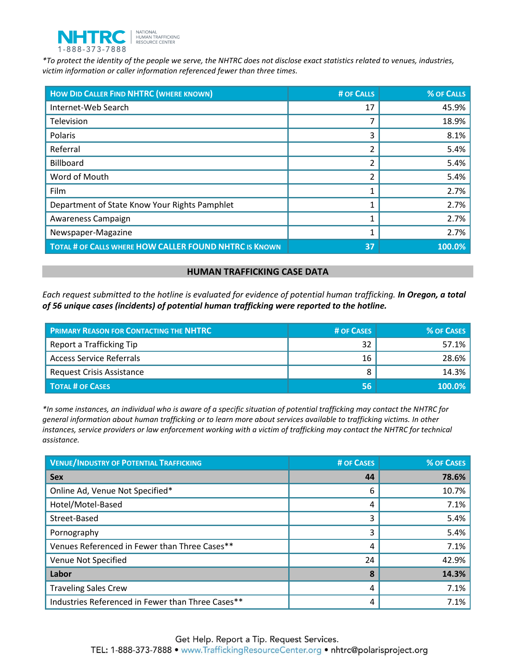

*\*To protect the identity of the people we serve, the NHTRC does not disclose exact statistics related to venues, industries, victim information or caller information referenced fewer than three times.* 

| <b>HOW DID CALLER FIND NHTRC (WHERE KNOWN)</b>         | # OF CALLS | % OF CALLS |
|--------------------------------------------------------|------------|------------|
| Internet-Web Search                                    | 17         | 45.9%      |
| Television                                             |            | 18.9%      |
| Polaris                                                | 3          | 8.1%       |
| Referral                                               | 2          | 5.4%       |
| Billboard                                              | 2          | 5.4%       |
| Word of Mouth                                          | 2          | 5.4%       |
| Film                                                   |            | 2.7%       |
| Department of State Know Your Rights Pamphlet          |            | 2.7%       |
| Awareness Campaign                                     |            | 2.7%       |
| Newspaper-Magazine                                     |            | 2.7%       |
| TOTAL # OF CALLS WHERE HOW CALLER FOUND NHTRC IS KNOWN | 37         | 100.0%     |

#### **HUMAN TRAFFICKING CASE DATA**

*Each request submitted to the hotline is evaluated for evidence of potential human trafficking. In Oregon, a total of 56 unique cases (incidents) of potential human trafficking were reported to the hotline.*

| <b>PRIMARY REASON FOR CONTACTING THE NHTRC</b> | # OF CASES | <b>% OF CASES</b> |
|------------------------------------------------|------------|-------------------|
| Report a Trafficking Tip                       | 32         | $57.1\%$          |
| <b>Access Service Referrals</b>                | 16         | 28.6%             |
| <b>Request Crisis Assistance</b>               |            | 14.3%             |
| <b>TOTAL # OF CASES</b>                        | 56         | 100.0%            |

*\*In some instances, an individual who is aware of a specific situation of potential trafficking may contact the NHTRC for general information about human trafficking or to learn more about services available to trafficking victims. In other instances, service providers or law enforcement working with a victim of trafficking may contact the NHTRC for technical assistance.* 

| <b>VENUE/INDUSTRY OF POTENTIAL TRAFFICKING</b>    | <b># OF CASES</b> | <b>% OF CASES</b> |
|---------------------------------------------------|-------------------|-------------------|
| <b>Sex</b>                                        | 44                | 78.6%             |
| Online Ad, Venue Not Specified*                   | 6                 | 10.7%             |
| Hotel/Motel-Based                                 | 4                 | 7.1%              |
| Street-Based                                      | 3                 | 5.4%              |
| Pornography                                       | 3                 | 5.4%              |
| Venues Referenced in Fewer than Three Cases**     | 4                 | 7.1%              |
| Venue Not Specified                               | 24                | 42.9%             |
| Labor                                             | 8                 | 14.3%             |
| <b>Traveling Sales Crew</b>                       | 4                 | 7.1%              |
| Industries Referenced in Fewer than Three Cases** | 4                 | 7.1%              |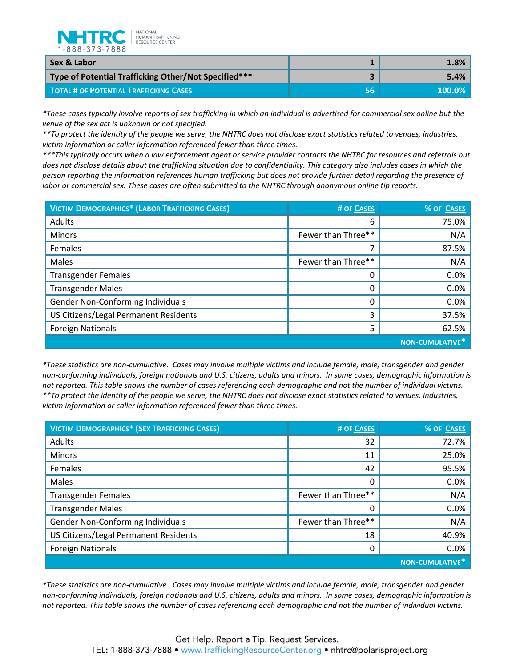

| Sex & Labor                                          |     | 1.8%      |
|------------------------------------------------------|-----|-----------|
| Type of Potential Trafficking Other/Not Specified*** |     | 5.4%      |
| <b>TOTAL # OF POTENTIAL TRAFFICKING CASES</b>        | 56' | $100.0\%$ |

*\*These cases typically involve reports of sex trafficking in which an individual is advertised for commercial sex online but the venue of the sex act is unknown or not specified.*

*\*\*To protect the identity of the people we serve, the NHTRC does not disclose exact statistics related to venues, industries, victim information or caller information referenced fewer than three times.* 

*\*\*\*This typically occurs when a law enforcement agent or service provider contacts the NHTRC for resources and referrals but does not disclose details about the trafficking situation due to confidentiality. This category also includes cases in which the person reporting the information references human trafficking but does not provide further detail regarding the presence of labor or commercial sex. These cases are often submitted to the NHTRC through anonymous online tip reports.*

| <b>VICTIM DEMOGRAPHICS* (LABOR TRAFFICKING CASES)</b> | # OF CASES         | % OF CASES                         |
|-------------------------------------------------------|--------------------|------------------------------------|
| Adults                                                | 6                  | 75.0%                              |
| <b>Minors</b>                                         | Fewer than Three** | N/A                                |
| Females                                               |                    | 87.5%                              |
| Males                                                 | Fewer than Three** | N/A                                |
| <b>Transgender Females</b>                            |                    | 0.0%                               |
| <b>Transgender Males</b>                              |                    | 0.0%                               |
| Gender Non-Conforming Individuals                     | 0                  | 0.0%                               |
| US Citizens/Legal Permanent Residents                 | 3                  | 37.5%                              |
| <b>Foreign Nationals</b>                              | 5                  | 62.5%                              |
|                                                       |                    | <b>NON-CUMULATIVE</b> <sup>*</sup> |

*\*These statistics are non-cumulative. Cases may involve multiple victims and include female, male, transgender and gender non-conforming individuals, foreign nationals and U.S. citizens, adults and minors. In some cases, demographic information is not reported. This table shows the number of cases referencing each demographic and not the number of individual victims. \*\*To protect the identity of the people we serve, the NHTRC does not disclose exact statistics related to venues, industries, victim information or caller information referenced fewer than three times.* 

| <b>VICTIM DEMOGRAPHICS* (SEX TRAFFICKING CASES)</b> | # OF CASES         | % OF CASES              |
|-----------------------------------------------------|--------------------|-------------------------|
| Adults                                              | 32                 | 72.7%                   |
| <b>Minors</b>                                       | 11                 | 25.0%                   |
| Females                                             | 42                 | 95.5%                   |
| Males                                               | 0                  | 0.0%                    |
| <b>Transgender Females</b>                          | Fewer than Three** | N/A                     |
| <b>Transgender Males</b>                            |                    | 0.0%                    |
| Gender Non-Conforming Individuals                   | Fewer than Three** | N/A                     |
| US Citizens/Legal Permanent Residents               | 18                 | 40.9%                   |
| <b>Foreign Nationals</b>                            | 0                  | 0.0%                    |
|                                                     |                    | <b>NON-CUMULATIVE</b> * |

*\*These statistics are non-cumulative. Cases may involve multiple victims and include female, male, transgender and gender non-conforming individuals, foreign nationals and U.S. citizens, adults and minors. In some cases, demographic information is not reported. This table shows the number of cases referencing each demographic and not the number of individual victims.*